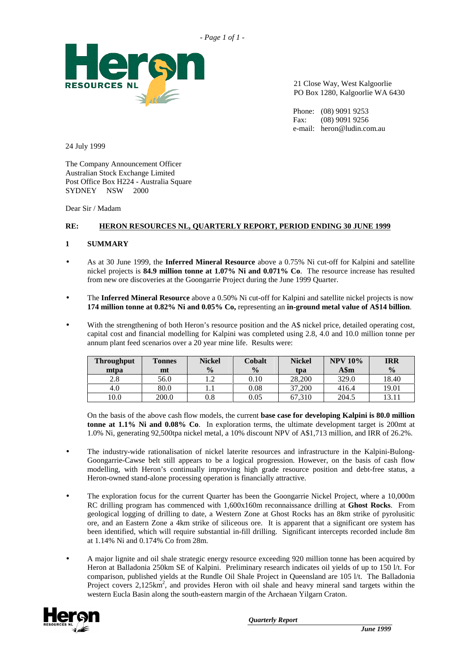



21 Close Way, West Kalgoorlie PO Box 1280, Kalgoorlie WA 6430

Phone: (08) 9091 9253 Fax: (08) 9091 9256 e-mail: heron@ludin.com.au

24 July 1999

The Company Announcement Officer Australian Stock Exchange Limited Post Office Box H224 - Australia Square SYDNEY NSW 2000

Dear Sir / Madam

# **RE: HERON RESOURCES NL, QUARTERLY REPORT, PERIOD ENDING 30 JUNE 1999**

## **1 SUMMARY**

- As at 30 June 1999, the **Inferred Mineral Resource** above a 0.75% Ni cut-off for Kalpini and satellite nickel projects is **84.9 million tonne at 1.07% Ni and 0.071% Co**. The resource increase has resulted from new ore discoveries at the Goongarrie Project during the June 1999 Quarter.
- The **Inferred Mineral Resource** above a 0.50% Ni cut-off for Kalpini and satellite nickel projects is now **174 million tonne at 0.82% Ni and 0.05% Co,** representing an **in-ground metal value of A\$14 billion**.
- With the strengthening of both Heron's resource position and the A\$ nickel price, detailed operating cost, capital cost and financial modelling for Kalpini was completed using 2.8, 4.0 and 10.0 million tonne per annum plant feed scenarios over a 20 year mine life. Results were:

| <b>Throughput</b> | <b>Tonnes</b> | <b>Nickel</b> | Cobalt        | <b>Nickel</b> | <b>NPV 10%</b> | <b>IRR</b>     |
|-------------------|---------------|---------------|---------------|---------------|----------------|----------------|
| mtpa              | mt            | $\frac{0}{0}$ | $\frac{0}{0}$ | tpa           | A\$m           | $\frac{0}{0}$  |
| 2.8               | 56.0          | ◠<br>         | 0.10          | 28,200        | 329.0          | 18.40          |
| 4.0               | 80.0          |               | 0.08          | 37,200        | 416.4          | 19.01          |
| 10.0              | 200.0         | $0.8\,$       | 0.05          | 67.310        | 204.5          | $13.1^{\circ}$ |

On the basis of the above cash flow models, the current **base case for developing Kalpini is 80.0 million tonne at 1.1% Ni and 0.08% Co**. In exploration terms, the ultimate development target is 200mt at 1.0% Ni, generating 92,500tpa nickel metal, a 10% discount NPV of A\$1,713 million, and IRR of 26.2%.

- The industry-wide rationalisation of nickel laterite resources and infrastructure in the Kalpini-Bulong-Goongarrie-Cawse belt still appears to be a logical progression. However, on the basis of cash flow modelling, with Heron's continually improving high grade resource position and debt-free status, a Heron-owned stand-alone processing operation is financially attractive.
- The exploration focus for the current Quarter has been the Goongarrie Nickel Project, where a 10,000m RC drilling program has commenced with 1,600x160m reconnaissance drilling at **Ghost Rocks**. From geological logging of drilling to date, a Western Zone at Ghost Rocks has an 8km strike of pyrolusitic ore, and an Eastern Zone a 4km strike of siliceous ore. It is apparent that a significant ore system has been identified, which will require substantial in-fill drilling. Significant intercepts recorded include 8m at 1.14% Ni and 0.174% Co from 28m.
- A major lignite and oil shale strategic energy resource exceeding 920 million tonne has been acquired by Heron at Balladonia 250km SE of Kalpini. Preliminary research indicates oil yields of up to 150 l/t. For comparison, published yields at the Rundle Oil Shale Project in Queensland are 105 l/t. The Balladonia Project covers 2,125km<sup>2</sup>, and provides Heron with oil shale and heavy mineral sand targets within the western Eucla Basin along the south-eastern margin of the Archaean Yilgarn Craton.

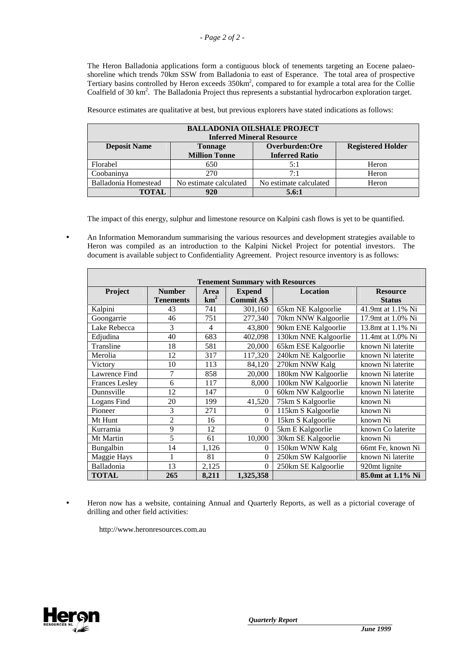The Heron Balladonia applications form a contiguous block of tenements targeting an Eocene palaeoshoreline which trends 70km SSW from Balladonia to east of Esperance. The total area of prospective Tertiary basins controlled by Heron exceeds 350km<sup>2</sup>, compared to for example a total area for the Collie Coalfield of 30 km<sup>2</sup>. The Balladonia Project thus represents a substantial hydrocarbon exploration target.

| <b>BALLADONIA OILSHALE PROJECT</b>                                                |                                               |                                  |                          |  |  |  |  |  |  |
|-----------------------------------------------------------------------------------|-----------------------------------------------|----------------------------------|--------------------------|--|--|--|--|--|--|
|                                                                                   |                                               | <b>Inferred Mineral Resource</b> |                          |  |  |  |  |  |  |
| <b>Deposit Name</b>                                                               | <b>Tonnage</b>                                | Overburden:Ore                   | <b>Registered Holder</b> |  |  |  |  |  |  |
|                                                                                   | <b>Million Tonne</b><br><b>Inferred Ratio</b> |                                  |                          |  |  |  |  |  |  |
| Florabel                                                                          | 650                                           | 5:1                              | Heron                    |  |  |  |  |  |  |
| Coobaninya                                                                        | 270                                           | 7:1                              | Heron                    |  |  |  |  |  |  |
| Balladonia Homestead<br>No estimate calculated<br>No estimate calculated<br>Heron |                                               |                                  |                          |  |  |  |  |  |  |
| <b>TOTAL</b>                                                                      | 920                                           | 5.6:1                            |                          |  |  |  |  |  |  |

Resource estimates are qualitative at best, but previous explorers have stated indications as follows:

The impact of this energy, sulphur and limestone resource on Kalpini cash flows is yet to be quantified.

• An Information Memorandum summarising the various resources and development strategies available to Heron was compiled as an introduction to the Kalpini Nickel Project for potential investors. The document is available subject to Confidentiality Agreement. Project resource inventory is as follows:

| <b>Tenement Summary with Resources</b> |                  |                 |                   |                      |                           |  |  |  |  |  |
|----------------------------------------|------------------|-----------------|-------------------|----------------------|---------------------------|--|--|--|--|--|
| Project                                | <b>Number</b>    | Area            | <b>Expend</b>     | <b>Location</b>      | <b>Resource</b>           |  |  |  |  |  |
|                                        | <b>Tenements</b> | km <sup>2</sup> | <b>Commit A\$</b> |                      | <b>Status</b>             |  |  |  |  |  |
| Kalpini                                | 43               | 741             | 301,160           | 65km NE Kalgoorlie   | 41.9mt at 1.1% Ni         |  |  |  |  |  |
| Goongarrie                             | 46               | 751             | 277,340           | 70km NNW Kalgoorlie  | 17.9mt at 1.0% Ni         |  |  |  |  |  |
| Lake Rebecca                           | 3                | 4               | 43,800            | 90km ENE Kalgoorlie  | 13.8mt at 1.1% Ni         |  |  |  |  |  |
| Edjudina                               | 40               | 683             | 402,098           | 130km NNE Kalgoorlie | 11.4mt at 1.0% Ni         |  |  |  |  |  |
| Transline                              | 18               | 581             | 20,000            | 65km ESE Kalgoorlie  | known Ni laterite         |  |  |  |  |  |
| Merolia                                | 12               | 317             | 117,320           | 240km NE Kalgoorlie  | known Ni laterite         |  |  |  |  |  |
| Victory                                | 10               | 113             | 84,120            | 270km NNW Kalg       | known Ni laterite         |  |  |  |  |  |
| Lawrence Find                          | 7                | 858             | 20,000            | 180km NW Kalgoorlie  | known Ni laterite         |  |  |  |  |  |
| <b>Frances Lesley</b>                  | 6                | 117             | 8,000             | 100km NW Kalgoorlie  | known Ni laterite         |  |  |  |  |  |
| Dunnsville                             | 12               | 147             | 0                 | 60km NW Kalgoorlie   | known Ni laterite         |  |  |  |  |  |
| Logans Find                            | 20               | 199             | 41,520            | 75km S Kalgoorlie    | known Ni                  |  |  |  |  |  |
| Pioneer                                | 3                | 271             | 0                 | 115km S Kalgoorlie   | known Ni                  |  |  |  |  |  |
| Mt Hunt                                | $\overline{2}$   | 16              | 0                 | 15km S Kalgoorlie    | known Ni                  |  |  |  |  |  |
| Kurramia                               | 9                | 12              | $\theta$          | 5km E Kalgoorlie     | known Co laterite         |  |  |  |  |  |
| Mt Martin                              | 5                | 61              | 10,000            | 30km SE Kalgoorlie   | known Ni                  |  |  |  |  |  |
| Bungalbin                              | 14               | 1,126           | 0                 | 150km WNW Kalg       | 66mt Fe, known Ni         |  |  |  |  |  |
| Maggie Hays                            | 1                | 81              | $\mathbf{0}$      | 250km SW Kalgoorlie  | known Ni laterite         |  |  |  |  |  |
| Balladonia                             | 13               | 2,125           | $\theta$          | 250km SE Kalgoorlie  | 920 <sub>mt</sub> lignite |  |  |  |  |  |
| <b>TOTAL</b>                           | 265              | 8,211           | 1,325,358         |                      | 85.0mt at 1.1% Ni         |  |  |  |  |  |

• Heron now has a website, containing Annual and Quarterly Reports, as well as a pictorial coverage of drilling and other field activities:

http://www.heronresources.com.au

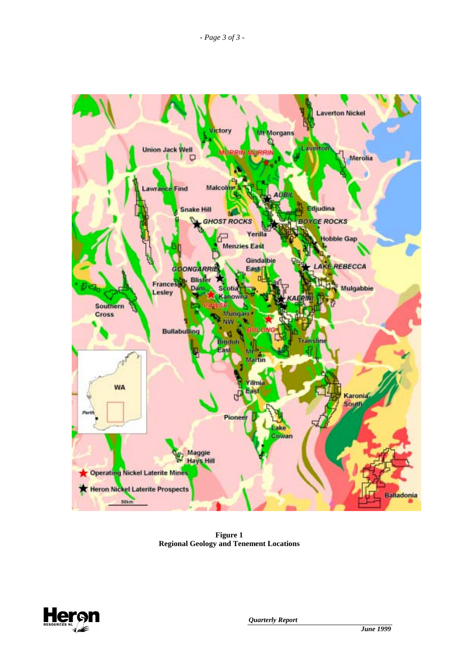

**Figure 1 Regional Geology and Tenement Locations** 

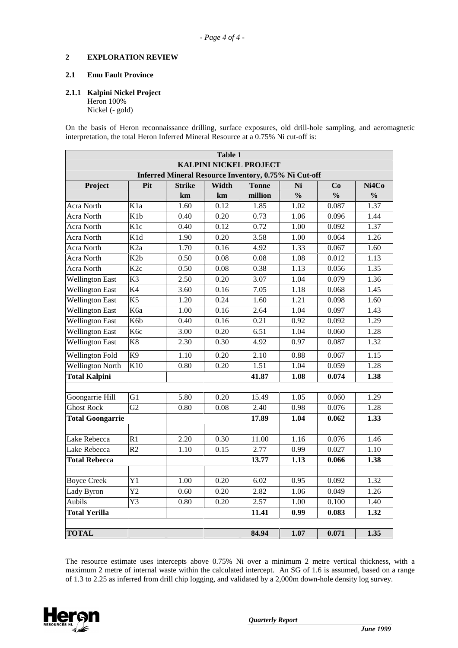### **2 EXPLORATION REVIEW**

## **2.1 Emu Fault Province**

#### **2.1.1 Kalpini Nickel Project**

Heron 100% Nickel (- gold)

On the basis of Heron reconnaissance drilling, surface exposures, old drill-hole sampling, and aeromagnetic interpretation, the total Heron Inferred Mineral Resource at a 0.75% Ni cut-off is:

| <b>Table 1</b>                                 |                  |               |       |                                                       |               |               |               |  |  |
|------------------------------------------------|------------------|---------------|-------|-------------------------------------------------------|---------------|---------------|---------------|--|--|
| <b>KALPINI NICKEL PROJECT</b>                  |                  |               |       |                                                       |               |               |               |  |  |
|                                                |                  |               |       | Inferred Mineral Resource Inventory, 0.75% Ni Cut-off |               |               |               |  |  |
| Project                                        | Pit              | <b>Strike</b> | Width | <b>Tonne</b>                                          | Ni            | Co            | Ni4Co         |  |  |
|                                                |                  | km            | km    | million                                               | $\frac{0}{0}$ | $\frac{0}{0}$ | $\frac{0}{0}$ |  |  |
| Acra North                                     | K <sub>1</sub> a | 1.60          | 0.12  | 1.85                                                  | 1.02          | 0.087         | 1.37          |  |  |
| Acra North                                     | K <sub>1</sub> b | 0.40          | 0.20  | 0.73                                                  | 1.06          | 0.096         | 1.44          |  |  |
| Acra North                                     | K <sub>1c</sub>  | 0.40          | 0.12  | 0.72                                                  | 1.00          | 0.092         | 1.37          |  |  |
| Acra North                                     | K1d              | 1.90          | 0.20  | 3.58                                                  | 1.00          | 0.064         | 1.26          |  |  |
| Acra North                                     | K <sub>2</sub> a | 1.70          | 0.16  | 4.92                                                  | 1.33          | 0.067         | 1.60          |  |  |
| Acra North                                     | K <sub>2</sub> b | 0.50          | 0.08  | 0.08                                                  | 1.08          | 0.012         | 1.13          |  |  |
| Acra North                                     | K <sub>2c</sub>  | 0.50          | 0.08  | 0.38                                                  | 1.13          | 0.056         | 1.35          |  |  |
| <b>Wellington East</b>                         | $\overline{K3}$  | 2.50          | 0.20  | 3.07                                                  | 1.04          | 0.079         | 1.36          |  |  |
| <b>Wellington East</b>                         | $\overline{K4}$  | 3.60          | 0.16  | 7.05                                                  | 1.18          | 0.068         | 1.45          |  |  |
| <b>Wellington East</b>                         | $\overline{K5}$  | 1.20          | 0.24  | 1.60                                                  | 1.21          | 0.098         | 1.60          |  |  |
| <b>Wellington East</b>                         | K6a              | 1.00          | 0.16  | 2.64                                                  | 1.04          | 0.097         | 1.43          |  |  |
| <b>Wellington East</b>                         | K6b              | 0.40          | 0.16  | 0.21                                                  | 0.92          | 0.092         | 1.29          |  |  |
| <b>Wellington East</b>                         | K <sub>6c</sub>  | 3.00          | 0.20  | 6.51                                                  | 1.04          | 0.060         | 1.28          |  |  |
| <b>Wellington East</b>                         | K <sup>8</sup>   | 2.30          | 0.30  | 4.92                                                  | 0.97          | 0.087         | 1.32          |  |  |
| <b>Wellington Fold</b>                         | $\overline{K9}$  | 1.10          | 0.20  | 2.10                                                  | 0.88          | 0.067         | 1.15          |  |  |
| Wellington North                               | K10              | 0.80          | 0.20  | 1.51                                                  | 1.04          | 0.059         | 1.28          |  |  |
| <b>Total Kalpini</b>                           |                  |               |       | 41.87                                                 | 1.08          | 0.074         | 1.38          |  |  |
|                                                |                  |               |       |                                                       |               |               |               |  |  |
| Goongarrie Hill                                | G1               | 5.80          | 0.20  | 15.49                                                 | 1.05          | 0.060         | 1.29          |  |  |
| <b>Ghost Rock</b>                              | G <sub>2</sub>   | 0.80          | 0.08  | 2.40                                                  | 0.98          | 0.076         | 1.28          |  |  |
| <b>Total Goongarrie</b>                        |                  |               |       | 17.89                                                 | 1.04          | 0.062         | 1.33          |  |  |
| Lake Rebecca                                   | R1               | 2.20          | 0.30  | 11.00                                                 | 1.16          | 0.076         | 1.46          |  |  |
| Lake Rebecca                                   | R <sub>2</sub>   | 1.10          | 0.15  | 2.77                                                  | 0.99          | 0.027         | 1.10          |  |  |
| <b>Total Rebecca</b>                           |                  |               |       | 13.77                                                 | 1.13          | 0.066         | 1.38          |  |  |
|                                                |                  |               |       |                                                       |               |               |               |  |  |
| <b>Boyce Creek</b>                             | Y1               | 1.00          | 0.20  | 6.02                                                  | 0.95          | 0.092         | 1.32          |  |  |
| Lady Byron                                     | Y <sub>2</sub>   | 0.60          | 0.20  | 2.82                                                  | 1.06          | 0.049         | 1.26          |  |  |
| <b>Aubils</b>                                  | Y3               | 0.80          | 0.20  | 2.57                                                  | 1.00          | 0.100         | 1.40          |  |  |
| <b>Total Yerilla</b>                           |                  |               |       | 11.41                                                 | 0.99          | 0.083         | 1.32          |  |  |
|                                                |                  |               |       |                                                       |               |               |               |  |  |
| 1.35<br><b>TOTAL</b><br>84.94<br>1.07<br>0.071 |                  |               |       |                                                       |               |               |               |  |  |

The resource estimate uses intercepts above 0.75% Ni over a minimum 2 metre vertical thickness, with a maximum 2 metre of internal waste within the calculated intercept. An SG of 1.6 is assumed, based on a range of 1.3 to 2.25 as inferred from drill chip logging, and validated by a 2,000m down-hole density log survey.

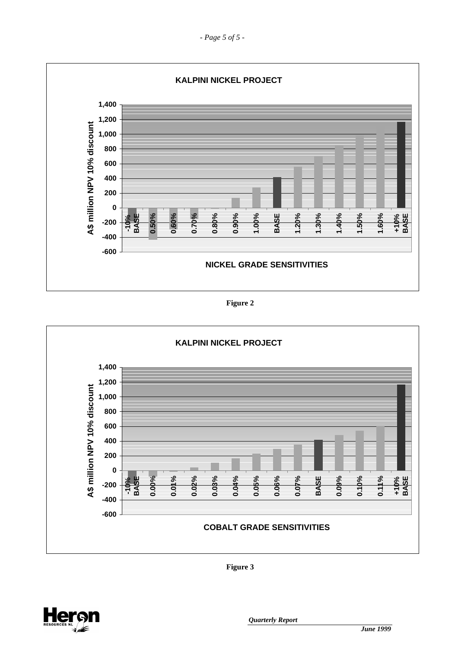*- Page 5 of 5 -* 



**Figure 2** 



**Figure 3** 

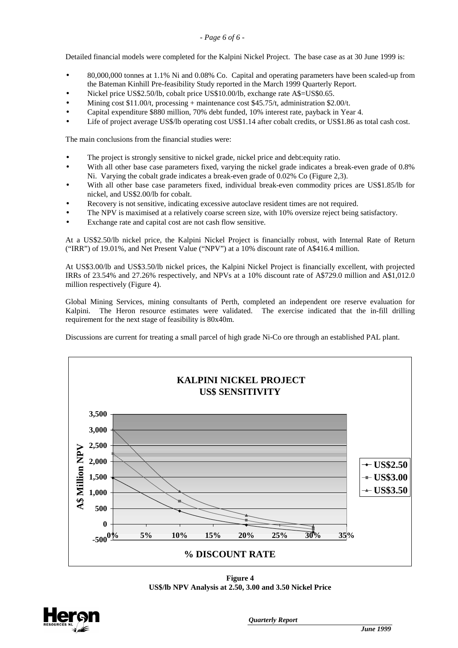## *- Page 6 of 6 -*

Detailed financial models were completed for the Kalpini Nickel Project. The base case as at 30 June 1999 is:

- 80,000,000 tonnes at 1.1% Ni and 0.08% Co. Capital and operating parameters have been scaled-up from the Bateman Kinhill Pre-feasibility Study reported in the March 1999 Quarterly Report.
- Nickel price US\$2.50/lb, cobalt price US\$10.00/lb, exchange rate A\$=US\$0.65.
- Mining cost \$11.00/t, processing + maintenance cost \$45.75/t, administration \$2.00/t.
- Capital expenditure \$880 million, 70% debt funded, 10% interest rate, payback in Year 4.
- Life of project average US\$/lb operating cost US\$1.14 after cobalt credits, or US\$1.86 as total cash cost.

The main conclusions from the financial studies were:

- The project is strongly sensitive to nickel grade, nickel price and debt: equity ratio.
- With all other base case parameters fixed, varying the nickel grade indicates a break-even grade of 0.8% Ni. Varying the cobalt grade indicates a break-even grade of 0.02% Co (Figure 2,3).
- With all other base case parameters fixed, individual break-even commodity prices are US\$1.85/lb for nickel, and US\$2.00/lb for cobalt.
- Recovery is not sensitive, indicating excessive autoclave resident times are not required.
- The NPV is maximised at a relatively coarse screen size, with 10% oversize reject being satisfactory.
- Exchange rate and capital cost are not cash flow sensitive.

At a US\$2.50/lb nickel price, the Kalpini Nickel Project is financially robust, with Internal Rate of Return ("IRR") of 19.01%, and Net Present Value ("NPV") at a 10% discount rate of A\$416.4 million.

At US\$3.00/lb and US\$3.50/lb nickel prices, the Kalpini Nickel Project is financially excellent, with projected IRRs of 23.54% and 27.26% respectively, and NPVs at a 10% discount rate of A\$729.0 million and A\$1,012.0 million respectively (Figure 4).

Global Mining Services, mining consultants of Perth, completed an independent ore reserve evaluation for Kalpini. The Heron resource estimates were validated. The exercise indicated that the in-fill drilling requirement for the next stage of feasibility is 80x40m.

Discussions are current for treating a small parcel of high grade Ni-Co ore through an established PAL plant.



**Figure 4 US\$/lb NPV Analysis at 2.50, 3.00 and 3.50 Nickel Price** 

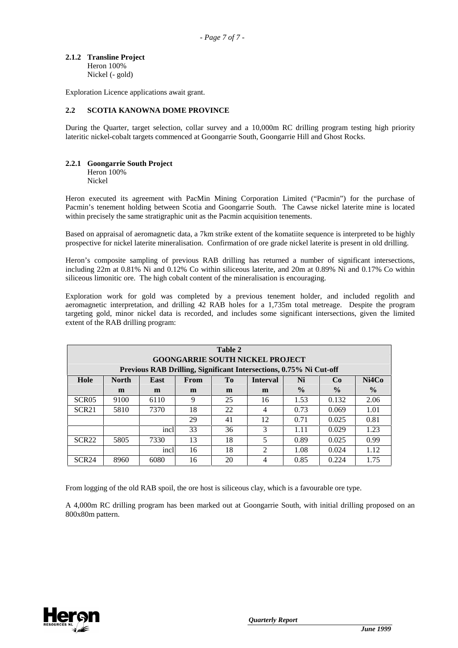**2.1.2 Transline Project**  Heron 100% Nickel (- gold)

Exploration Licence applications await grant.

#### **2.2 SCOTIA KANOWNA DOME PROVINCE**

During the Quarter, target selection, collar survey and a 10,000m RC drilling program testing high priority lateritic nickel-cobalt targets commenced at Goongarrie South, Goongarrie Hill and Ghost Rocks.

#### **2.2.1 Goongarrie South Project**

Heron 100% Nickel

Heron executed its agreement with PacMin Mining Corporation Limited ("Pacmin") for the purchase of Pacmin's tenement holding between Scotia and Goongarrie South. The Cawse nickel laterite mine is located within precisely the same stratigraphic unit as the Pacmin acquisition tenements.

Based on appraisal of aeromagnetic data, a 7km strike extent of the komatiite sequence is interpreted to be highly prospective for nickel laterite mineralisation. Confirmation of ore grade nickel laterite is present in old drilling.

Heron's composite sampling of previous RAB drilling has returned a number of significant intersections, including 22m at 0.81% Ni and 0.12% Co within siliceous laterite, and 20m at 0.89% Ni and 0.17% Co within siliceous limonitic ore. The high cobalt content of the mineralisation is encouraging.

Exploration work for gold was completed by a previous tenement holder, and included regolith and aeromagnetic interpretation, and drilling 42 RAB holes for a 1,735m total metreage. Despite the program targeting gold, minor nickel data is recorded, and includes some significant intersections, given the limited extent of the RAB drilling program:

| Table 2<br><b>GOONGARRIE SOUTH NICKEL PROJECT</b>                  |              |             |             |    |                 |               |               |               |  |
|--------------------------------------------------------------------|--------------|-------------|-------------|----|-----------------|---------------|---------------|---------------|--|
| Previous RAB Drilling, Significant Intersections, 0.75% Ni Cut-off |              |             |             |    |                 |               |               |               |  |
| Hole                                                               | <b>North</b> | <b>East</b> | <b>From</b> | Tо | <b>Interval</b> | Ni            | Co            | Ni4Co         |  |
|                                                                    | m            | m           | m           | m  | m               | $\frac{6}{9}$ | $\frac{0}{0}$ | $\frac{6}{9}$ |  |
| SCR <sub>05</sub>                                                  | 9100         | 6110        | 9           | 25 | 16              | 1.53          | 0.132         | 2.06          |  |
| SCR <sub>21</sub>                                                  | 5810         | 7370        | 18          | 22 | 4               | 0.73          | 0.069         | 1.01          |  |
|                                                                    |              |             | 29          | 41 | 12              | 0.71          | 0.025         | 0.81          |  |
|                                                                    |              | incl        | 33          | 36 | 3               | 1.11          | 0.029         | 1.23          |  |
| SCR <sub>22</sub>                                                  | 5805         | 7330        | 13          | 18 | 5               | 0.89          | 0.025         | 0.99          |  |
| 18<br>$\mathfrak{D}$<br>1.12<br>1.08<br>0.024<br>incl<br>16        |              |             |             |    |                 |               |               |               |  |
| SCR <sub>24</sub>                                                  | 8960         | 6080        | 16          | 20 | 4               | 0.85          | 0.224         | 1.75          |  |

From logging of the old RAB spoil, the ore host is siliceous clay, which is a favourable ore type.

A 4,000m RC drilling program has been marked out at Goongarrie South, with initial drilling proposed on an 800x80m pattern.

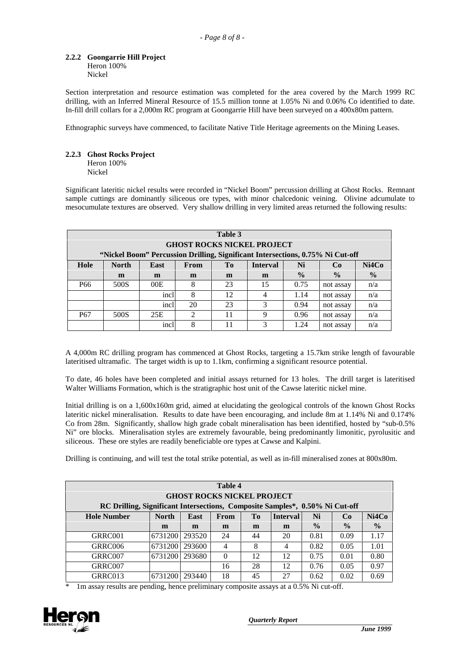## **2.2.2 Goongarrie Hill Project**

Heron 100% Nickel

Section interpretation and resource estimation was completed for the area covered by the March 1999 RC drilling, with an Inferred Mineral Resource of 15.5 million tonne at 1.05% Ni and 0.06% Co identified to date. In-fill drill collars for a 2,000m RC program at Goongarrie Hill have been surveyed on a 400x80m pattern.

Ethnographic surveys have commenced, to facilitate Native Title Heritage agreements on the Mining Leases.

## **2.2.3 Ghost Rocks Project**

Heron 100% Nickel

Significant lateritic nickel results were recorded in "Nickel Boom" percussion drilling at Ghost Rocks. Remnant sample cuttings are dominantly siliceous ore types, with minor chalcedonic veining. Olivine adcumulate to mesocumulate textures are observed. Very shallow drilling in very limited areas returned the following results:

| Table 3<br><b>GHOST ROCKS NICKEL PROJECT</b> |                                                                      |                                                                                |             |    |                 |               |               |               |  |
|----------------------------------------------|----------------------------------------------------------------------|--------------------------------------------------------------------------------|-------------|----|-----------------|---------------|---------------|---------------|--|
|                                              |                                                                      | "Nickel Boom" Percussion Drilling, Significant Intersections, 0.75% Ni Cut-off |             |    |                 |               |               |               |  |
| Hole                                         | <b>North</b>                                                         | East                                                                           | <b>From</b> | Tо | <b>Interval</b> | Ni            | Co            | Ni4Co         |  |
|                                              | m                                                                    | m                                                                              | m           | m  | m               | $\frac{6}{9}$ | $\frac{0}{0}$ | $\frac{6}{9}$ |  |
| P <sub>66</sub>                              | 500S                                                                 | 00E                                                                            | 8           | 23 | 15              | 0.75          | not assay     | n/a           |  |
|                                              |                                                                      | incl                                                                           | 8           | 12 | 4               | 1.14          | not assay     | n/a           |  |
|                                              | incl<br>23<br>3<br>20<br>0.94<br>n/a<br>not assay                    |                                                                                |             |    |                 |               |               |               |  |
| P <sub>67</sub>                              | $\mathfrak{D}$<br>11<br>9<br>500S<br>25E<br>0.96<br>n/a<br>not assay |                                                                                |             |    |                 |               |               |               |  |
|                                              |                                                                      | incl                                                                           | 8           | 11 | 3               | 1.24          | not assay     | n/a           |  |

A 4,000m RC drilling program has commenced at Ghost Rocks, targeting a 15.7km strike length of favourable lateritised ultramafic. The target width is up to 1.1km, confirming a significant resource potential.

To date, 46 holes have been completed and initial assays returned for 13 holes. The drill target is lateritised Walter Williams Formation, which is the stratigraphic host unit of the Cawse lateritic nickel mine.

Initial drilling is on a 1,600x160m grid, aimed at elucidating the geological controls of the known Ghost Rocks lateritic nickel mineralisation. Results to date have been encouraging, and include 8m at 1.14% Ni and 0.174% Co from 28m. Significantly, shallow high grade cobalt mineralisation has been identified, hosted by "sub-0.5% Ni" ore blocks. Mineralisation styles are extremely favourable, being predominantly limonitic, pyrolusitic and siliceous. These ore styles are readily beneficiable ore types at Cawse and Kalpini.

Drilling is continuing, and will test the total strike potential, as well as in-fill mineralised zones at 800x80m.

| Table 4<br><b>GHOST ROCKS NICKEL PROJECT</b>                                 |              |             |          |    |                 |               |               |               |
|------------------------------------------------------------------------------|--------------|-------------|----------|----|-----------------|---------------|---------------|---------------|
| RC Drilling, Significant Intersections, Composite Samples*, 0.50% Ni Cut-off |              |             |          |    |                 |               |               |               |
| <b>Hole Number</b>                                                           | <b>North</b> | <b>East</b> | From     | Tо | <b>Interval</b> | Ni            | Co            | Ni4Co         |
|                                                                              | m            | m           | m        | m  | m               | $\frac{0}{0}$ | $\frac{0}{0}$ | $\frac{0}{0}$ |
| GRRC001                                                                      | 6731200      | 293520      | 24       | 44 | 20              | 0.81          | 0.09          | 1.17          |
| GRRC006                                                                      | 6731200      | 293600      | 4        | 8  | 4               | 0.82          | 0.05          | 1.01          |
| GRRC007                                                                      | 6731200      | 293680      | $\Omega$ | 12 | 12              | 0.75          | 0.01          | 0.80          |
| GRRC007                                                                      |              |             | 16       | 28 | 12              | 0.76          | 0.05          | 0.97          |
| GRRC013                                                                      | 6731200      | 293440      | 18       | 45 | 27              | 0.62          | 0.02          | 0.69          |

1m assay results are pending, hence preliminary composite assays at a 0.5% Ni cut-off.

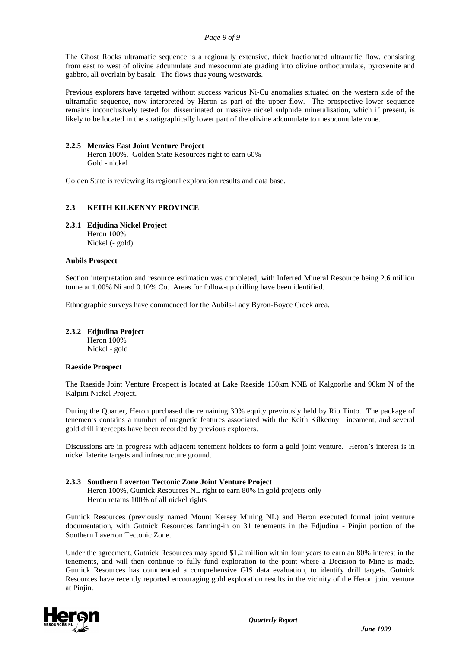The Ghost Rocks ultramafic sequence is a regionally extensive, thick fractionated ultramafic flow, consisting from east to west of olivine adcumulate and mesocumulate grading into olivine orthocumulate, pyroxenite and gabbro, all overlain by basalt. The flows thus young westwards.

Previous explorers have targeted without success various Ni-Cu anomalies situated on the western side of the ultramafic sequence, now interpreted by Heron as part of the upper flow. The prospective lower sequence remains inconclusively tested for disseminated or massive nickel sulphide mineralisation, which if present, is likely to be located in the stratigraphically lower part of the olivine adcumulate to mesocumulate zone.

## **2.2.5 Menzies East Joint Venture Project**

Heron 100%. Golden State Resources right to earn 60% Gold - nickel

Golden State is reviewing its regional exploration results and data base.

## **2.3 KEITH KILKENNY PROVINCE**

## **2.3.1 Edjudina Nickel Project**

Heron 100% Nickel (- gold)

### **Aubils Prospect**

Section interpretation and resource estimation was completed, with Inferred Mineral Resource being 2.6 million tonne at 1.00% Ni and 0.10% Co. Areas for follow-up drilling have been identified.

Ethnographic surveys have commenced for the Aubils-Lady Byron-Boyce Creek area.

### **2.3.2 Edjudina Project**

Heron 100% Nickel - gold

### **Raeside Prospect**

The Raeside Joint Venture Prospect is located at Lake Raeside 150km NNE of Kalgoorlie and 90km N of the Kalpini Nickel Project.

During the Quarter, Heron purchased the remaining 30% equity previously held by Rio Tinto. The package of tenements contains a number of magnetic features associated with the Keith Kilkenny Lineament, and several gold drill intercepts have been recorded by previous explorers.

Discussions are in progress with adjacent tenement holders to form a gold joint venture. Heron's interest is in nickel laterite targets and infrastructure ground.

### **2.3.3 Southern Laverton Tectonic Zone Joint Venture Project**

Heron 100%, Gutnick Resources NL right to earn 80% in gold projects only Heron retains 100% of all nickel rights

Gutnick Resources (previously named Mount Kersey Mining NL) and Heron executed formal joint venture documentation, with Gutnick Resources farming-in on 31 tenements in the Edjudina - Pinjin portion of the Southern Laverton Tectonic Zone.

Under the agreement, Gutnick Resources may spend \$1.2 million within four years to earn an 80% interest in the tenements, and will then continue to fully fund exploration to the point where a Decision to Mine is made. Gutnick Resources has commenced a comprehensive GIS data evaluation, to identify drill targets. Gutnick Resources have recently reported encouraging gold exploration results in the vicinity of the Heron joint venture at Pinjin.

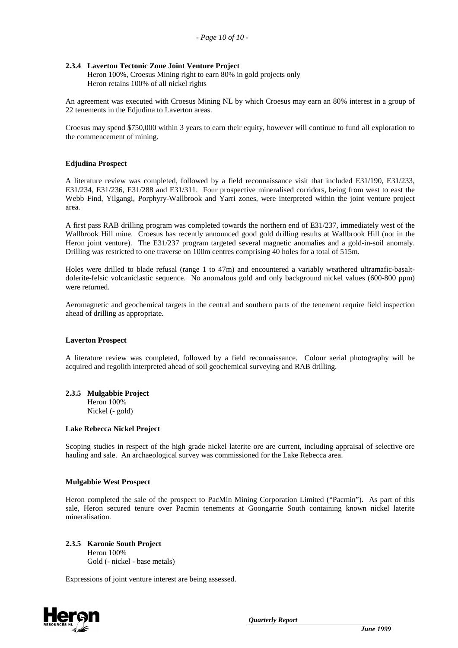## **2.3.4 Laverton Tectonic Zone Joint Venture Project**

Heron 100%, Croesus Mining right to earn 80% in gold projects only Heron retains 100% of all nickel rights

An agreement was executed with Croesus Mining NL by which Croesus may earn an 80% interest in a group of 22 tenements in the Edjudina to Laverton areas.

Croesus may spend \$750,000 within 3 years to earn their equity, however will continue to fund all exploration to the commencement of mining.

### **Edjudina Prospect**

A literature review was completed, followed by a field reconnaissance visit that included E31/190, E31/233, E31/234, E31/236, E31/288 and E31/311. Four prospective mineralised corridors, being from west to east the Webb Find, Yilgangi, Porphyry-Wallbrook and Yarri zones, were interpreted within the joint venture project area.

A first pass RAB drilling program was completed towards the northern end of E31/237, immediately west of the Wallbrook Hill mine. Croesus has recently announced good gold drilling results at Wallbrook Hill (not in the Heron joint venture). The E31/237 program targeted several magnetic anomalies and a gold-in-soil anomaly. Drilling was restricted to one traverse on 100m centres comprising 40 holes for a total of 515m.

Holes were drilled to blade refusal (range 1 to 47m) and encountered a variably weathered ultramafic-basaltdolerite-felsic volcaniclastic sequence. No anomalous gold and only background nickel values (600-800 ppm) were returned.

Aeromagnetic and geochemical targets in the central and southern parts of the tenement require field inspection ahead of drilling as appropriate.

#### **Laverton Prospect**

A literature review was completed, followed by a field reconnaissance. Colour aerial photography will be acquired and regolith interpreted ahead of soil geochemical surveying and RAB drilling.

# **2.3.5 Mulgabbie Project**

Heron 100% Nickel (- gold)

#### **Lake Rebecca Nickel Project**

Scoping studies in respect of the high grade nickel laterite ore are current, including appraisal of selective ore hauling and sale. An archaeological survey was commissioned for the Lake Rebecca area.

### **Mulgabbie West Prospect**

Heron completed the sale of the prospect to PacMin Mining Corporation Limited ("Pacmin"). As part of this sale, Heron secured tenure over Pacmin tenements at Goongarrie South containing known nickel laterite mineralisation.

### **2.3.5 Karonie South Project**

Heron 100% Gold (- nickel - base metals)

Expressions of joint venture interest are being assessed.

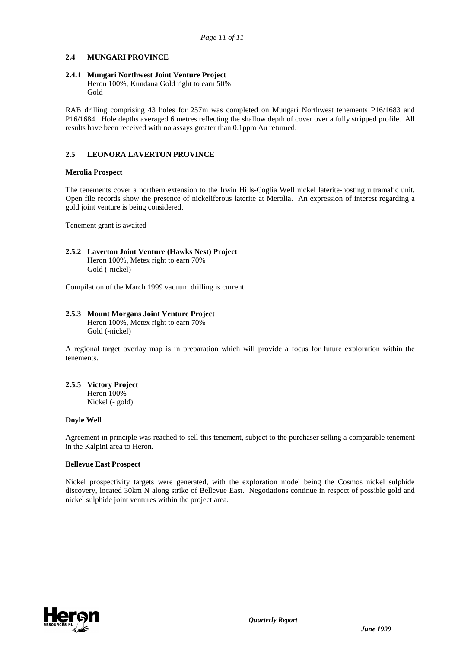## **2.4 MUNGARI PROVINCE**

## **2.4.1 Mungari Northwest Joint Venture Project**

Heron 100%, Kundana Gold right to earn 50% Gold

RAB drilling comprising 43 holes for 257m was completed on Mungari Northwest tenements P16/1683 and P16/1684. Hole depths averaged 6 metres reflecting the shallow depth of cover over a fully stripped profile. All results have been received with no assays greater than 0.1ppm Au returned.

## **2.5 LEONORA LAVERTON PROVINCE**

## **Merolia Prospect**

The tenements cover a northern extension to the Irwin Hills-Coglia Well nickel laterite-hosting ultramafic unit. Open file records show the presence of nickeliferous laterite at Merolia. An expression of interest regarding a gold joint venture is being considered.

Tenement grant is awaited

#### **2.5.2 Laverton Joint Venture (Hawks Nest) Project** Heron 100%, Metex right to earn 70% Gold (-nickel)

Compilation of the March 1999 vacuum drilling is current.

## **2.5.3 Mount Morgans Joint Venture Project**

Heron 100%, Metex right to earn 70% Gold (-nickel)

A regional target overlay map is in preparation which will provide a focus for future exploration within the tenements.

## **2.5.5 Victory Project**

Heron 100% Nickel (- gold)

### **Doyle Well**

Agreement in principle was reached to sell this tenement, subject to the purchaser selling a comparable tenement in the Kalpini area to Heron.

### **Bellevue East Prospect**

Nickel prospectivity targets were generated, with the exploration model being the Cosmos nickel sulphide discovery, located 30km N along strike of Bellevue East. Negotiations continue in respect of possible gold and nickel sulphide joint ventures within the project area.

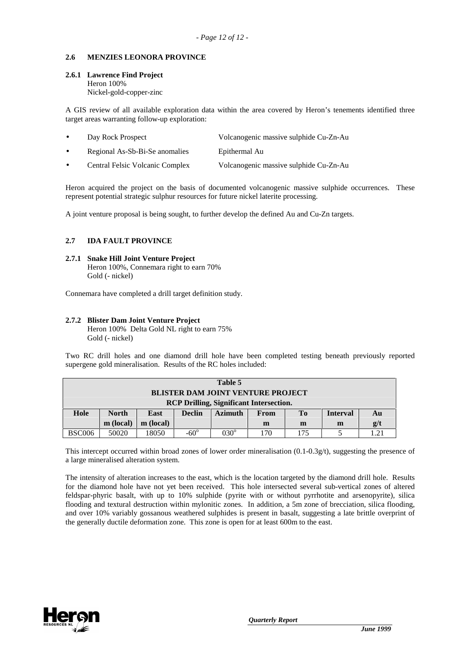## **2.6 MENZIES LEONORA PROVINCE**

## **2.6.1 Lawrence Find Project**

Heron 100%

Nickel-gold-copper-zinc

A GIS review of all available exploration data within the area covered by Heron's tenements identified three target areas warranting follow-up exploration:

| $\bullet$ | Day Rock Prospect               | Volcanogenic massive sulphide Cu-Zn-Au |
|-----------|---------------------------------|----------------------------------------|
| $\bullet$ | Regional As-Sb-Bi-Se anomalies  | Epithermal Au                          |
| $\bullet$ | Central Felsic Volcanic Complex | Volcanogenic massive sulphide Cu-Zn-Au |

Heron acquired the project on the basis of documented volcanogenic massive sulphide occurrences. These represent potential strategic sulphur resources for future nickel laterite processing.

A joint venture proposal is being sought, to further develop the defined Au and Cu-Zn targets.

## **2.7 IDA FAULT PROVINCE**

#### **2.7.1 Snake Hill Joint Venture Project** Heron 100%, Connemara right to earn 70% Gold (- nickel)

Connemara have completed a drill target definition study.

## **2.7.2 Blister Dam Joint Venture Project**

Heron 100% Delta Gold NL right to earn 75% Gold (- nickel)

Two RC drill holes and one diamond drill hole have been completed testing beneath previously reported supergene gold mineralisation. Results of the RC holes included:

| Table 5                                        |                                                                    |      |               |                |      |     |                 |    |
|------------------------------------------------|--------------------------------------------------------------------|------|---------------|----------------|------|-----|-----------------|----|
| <b>BLISTER DAM JOINT VENTURE PROJECT</b>       |                                                                    |      |               |                |      |     |                 |    |
| <b>RCP Drilling, Significant Intersection.</b> |                                                                    |      |               |                |      |     |                 |    |
| Hole                                           | <b>North</b>                                                       | East | <b>Declin</b> | <b>Azimuth</b> | From | To. | <b>Interval</b> | Au |
|                                                | g/t<br>m (local)<br>m (local)<br>m<br>m<br>m                       |      |               |                |      |     |                 |    |
| <b>BSC006</b>                                  | $030^\circ$<br>$-60^\circ$<br>50020<br>18050<br>170<br>175<br>1.21 |      |               |                |      |     |                 |    |

This intercept occurred within broad zones of lower order mineralisation  $(0.1-0.3g/t)$ , suggesting the presence of a large mineralised alteration system.

The intensity of alteration increases to the east, which is the location targeted by the diamond drill hole. Results for the diamond hole have not yet been received. This hole intersected several sub-vertical zones of altered feldspar-phyric basalt, with up to 10% sulphide (pyrite with or without pyrrhotite and arsenopyrite), silica flooding and textural destruction within mylonitic zones. In addition, a 5m zone of brecciation, silica flooding, and over 10% variably gossanous weathered sulphides is present in basalt, suggesting a late brittle overprint of the generally ductile deformation zone. This zone is open for at least 600m to the east.

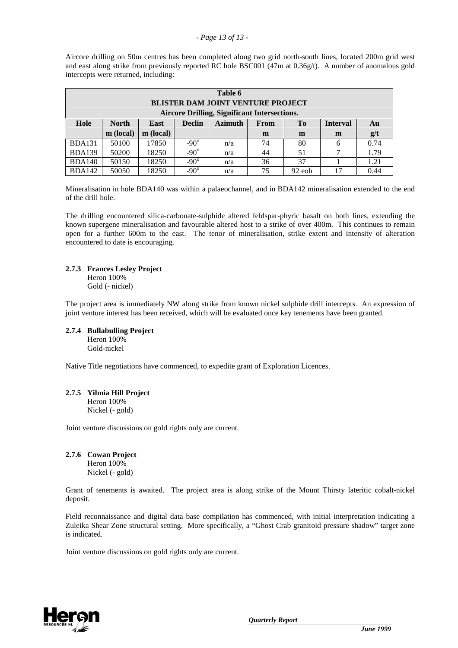#### *- Page 13 of 13 -*

Aircore drilling on 50m centres has been completed along two grid north-south lines, located 200m grid west and east along strike from previously reported RC hole BSC001 (47m at 0.36g/t). A number of anomalous gold intercepts were returned, including:

|                                          | Table 6                                                                                                    |           |             |     |    |        |    |      |  |  |
|------------------------------------------|------------------------------------------------------------------------------------------------------------|-----------|-------------|-----|----|--------|----|------|--|--|
| <b>BLISTER DAM JOINT VENTURE PROJECT</b> |                                                                                                            |           |             |     |    |        |    |      |  |  |
|                                          | <b>Aircore Drilling, Significant Intersections.</b>                                                        |           |             |     |    |        |    |      |  |  |
| Hole                                     | <b>North</b><br><b>Azimuth</b><br>T <sub>0</sub><br><b>Interval</b><br><b>Declin</b><br>East<br>From<br>Au |           |             |     |    |        |    |      |  |  |
|                                          | m (local)                                                                                                  | m (local) |             |     | m  | m      | m  | g/t  |  |  |
| <b>BDA131</b>                            | 50100                                                                                                      | 17850     | $-90^\circ$ | n/a | 74 | 80     | 6  | 0.74 |  |  |
| <b>BDA139</b>                            | 50200                                                                                                      | 18250     | $-90^\circ$ | n/a | 44 | 51     | 7  | 1.79 |  |  |
| <b>BDA140</b>                            | $-90^\circ$<br>36<br>37<br>18250<br>1.21<br>50150<br>n/a                                                   |           |             |     |    |        |    |      |  |  |
| <b>BDA142</b>                            | 50050                                                                                                      | 18250     | $-90^\circ$ | n/a | 75 | 92 eoh | 17 | 0.44 |  |  |

Mineralisation in hole BDA140 was within a palaeochannel, and in BDA142 mineralisation extended to the end of the drill hole.

The drilling encountered silica-carbonate-sulphide altered feldspar-phyric basalt on both lines, extending the known supergene mineralisation and favourable altered host to a strike of over 400m. This continues to remain open for a further 600m to the east. The tenor of mineralisation, strike extent and intensity of alteration encountered to date is encouraging.

### **2.7.3 Frances Lesley Project**

Heron 100% Gold (- nickel)

The project area is immediately NW along strike from known nickel sulphide drill intercepts. An expression of joint venture interest has been received, which will be evaluated once key tenements have been granted.

#### **2.7.4 Bullabulling Project** Heron 100% Gold-nickel

Native Title negotiations have commenced, to expedite grant of Exploration Licences.

#### **2.7.5 Yilmia Hill Project** Heron 100%

Nickel (- gold)

Joint venture discussions on gold rights only are current.

#### **2.7.6 Cowan Project** Heron 100%

Nickel (- gold)

Grant of tenements is awaited. The project area is along strike of the Mount Thirsty lateritic cobalt-nickel deposit.

Field reconnaissance and digital data base compilation has commenced, with initial interpretation indicating a Zuleika Shear Zone structural setting. More specifically, a "Ghost Crab granitoid pressure shadow" target zone is indicated.

Joint venture discussions on gold rights only are current.

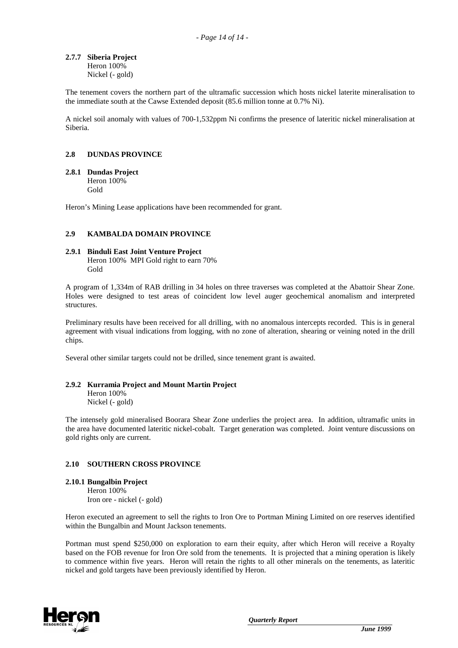# **2.7.7 Siberia Project**

Heron 100% Nickel (- gold)

The tenement covers the northern part of the ultramafic succession which hosts nickel laterite mineralisation to the immediate south at the Cawse Extended deposit (85.6 million tonne at 0.7% Ni).

A nickel soil anomaly with values of 700-1,532ppm Ni confirms the presence of lateritic nickel mineralisation at Siberia.

## **2.8 DUNDAS PROVINCE**

#### **2.8.1 Dundas Project**

Heron 100% Gold

Heron's Mining Lease applications have been recommended for grant.

### **2.9 KAMBALDA DOMAIN PROVINCE**

#### **2.9.1 Binduli East Joint Venture Project** Heron 100% MPI Gold right to earn 70% Gold

A program of 1,334m of RAB drilling in 34 holes on three traverses was completed at the Abattoir Shear Zone. Holes were designed to test areas of coincident low level auger geochemical anomalism and interpreted structures.

Preliminary results have been received for all drilling, with no anomalous intercepts recorded. This is in general agreement with visual indications from logging, with no zone of alteration, shearing or veining noted in the drill chips.

Several other similar targets could not be drilled, since tenement grant is awaited.

### **2.9.2 Kurramia Project and Mount Martin Project**

Heron 100% Nickel (- gold)

The intensely gold mineralised Boorara Shear Zone underlies the project area. In addition, ultramafic units in the area have documented lateritic nickel-cobalt. Target generation was completed. Joint venture discussions on gold rights only are current.

### **2.10 SOUTHERN CROSS PROVINCE**

#### **2.10.1 Bungalbin Project** Heron 100%

Iron ore - nickel (- gold)

Heron executed an agreement to sell the rights to Iron Ore to Portman Mining Limited on ore reserves identified within the Bungalbin and Mount Jackson tenements.

Portman must spend \$250,000 on exploration to earn their equity, after which Heron will receive a Royalty based on the FOB revenue for Iron Ore sold from the tenements. It is projected that a mining operation is likely to commence within five years. Heron will retain the rights to all other minerals on the tenements, as lateritic nickel and gold targets have been previously identified by Heron.

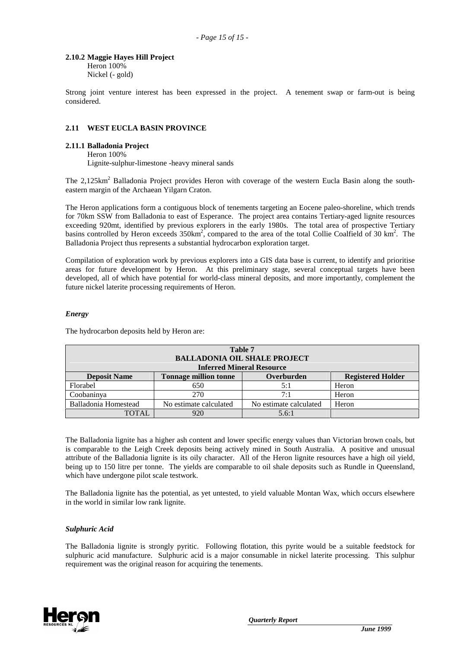#### **2.10.2 Maggie Hayes Hill Project**

Heron 100% Nickel (- gold)

Strong joint venture interest has been expressed in the project. A tenement swap or farm-out is being considered.

## **2.11 WEST EUCLA BASIN PROVINCE**

#### **2.11.1 Balladonia Project**

Heron 100% Lignite-sulphur-limestone -heavy mineral sands

The 2,125km<sup>2</sup> Balladonia Project provides Heron with coverage of the western Eucla Basin along the southeastern margin of the Archaean Yilgarn Craton.

The Heron applications form a contiguous block of tenements targeting an Eocene paleo-shoreline, which trends for 70km SSW from Balladonia to east of Esperance. The project area contains Tertiary-aged lignite resources exceeding 920mt, identified by previous explorers in the early 1980s. The total area of prospective Tertiary basins controlled by Heron exceeds  $350 \text{km}^2$ , compared to the area of the total Collie Coalfield of 30 km<sup>2</sup>. The Balladonia Project thus represents a substantial hydrocarbon exploration target.

Compilation of exploration work by previous explorers into a GIS data base is current, to identify and prioritise areas for future development by Heron. At this preliminary stage, several conceptual targets have been developed, all of which have potential for world-class mineral deposits, and more importantly, complement the future nickel laterite processing requirements of Heron.

#### *Energy*

The hydrocarbon deposits held by Heron are:

| Table 7<br><b>BALLADONIA OIL SHALE PROJECT</b><br><b>Inferred Mineral Resource</b>            |                        |                        |       |  |  |  |  |  |
|-----------------------------------------------------------------------------------------------|------------------------|------------------------|-------|--|--|--|--|--|
| Overburden<br><b>Deposit Name</b><br><b>Tonnage million tonne</b><br><b>Registered Holder</b> |                        |                        |       |  |  |  |  |  |
| Florabel                                                                                      | 650                    | 5:1                    | Heron |  |  |  |  |  |
| Coobaninya                                                                                    | 270                    | 7:1                    | Heron |  |  |  |  |  |
| Balladonia Homestead                                                                          | No estimate calculated | No estimate calculated | Heron |  |  |  |  |  |
| <b>TOTAL</b>                                                                                  | 920                    | 5.6:1                  |       |  |  |  |  |  |

The Balladonia lignite has a higher ash content and lower specific energy values than Victorian brown coals, but is comparable to the Leigh Creek deposits being actively mined in South Australia. A positive and unusual attribute of the Balladonia lignite is its oily character. All of the Heron lignite resources have a high oil yield, being up to 150 litre per tonne. The yields are comparable to oil shale deposits such as Rundle in Queensland, which have undergone pilot scale testwork.

The Balladonia lignite has the potential, as yet untested, to yield valuable Montan Wax, which occurs elsewhere in the world in similar low rank lignite.

### *Sulphuric Acid*

The Balladonia lignite is strongly pyritic. Following flotation, this pyrite would be a suitable feedstock for sulphuric acid manufacture. Sulphuric acid is a major consumable in nickel laterite processing. This sulphur requirement was the original reason for acquiring the tenements.

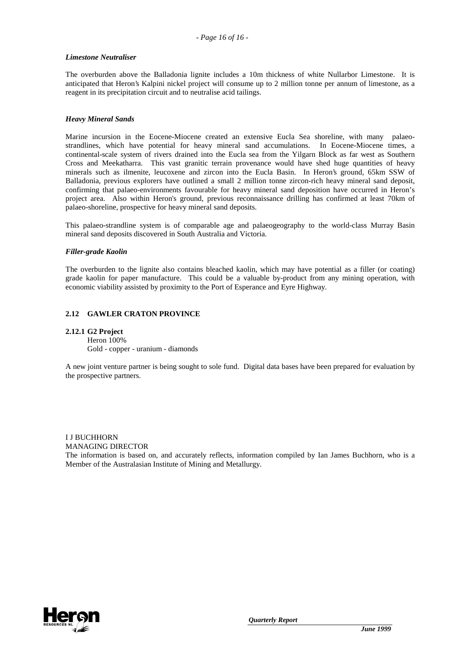#### *Limestone Neutraliser*

The overburden above the Balladonia lignite includes a 10m thickness of white Nullarbor Limestone. It is anticipated that Heron's Kalpini nickel project will consume up to 2 million tonne per annum of limestone, as a reagent in its precipitation circuit and to neutralise acid tailings.

### *Heavy Mineral Sands*

Marine incursion in the Eocene-Miocene created an extensive Eucla Sea shoreline, with many palaeostrandlines, which have potential for heavy mineral sand accumulations. In Eocene-Miocene times, a continental-scale system of rivers drained into the Eucla sea from the Yilgarn Block as far west as Southern Cross and Meekatharra. This vast granitic terrain provenance would have shed huge quantities of heavy minerals such as ilmenite, leucoxene and zircon into the Eucla Basin. In Heron's ground, 65km SSW of Balladonia, previous explorers have outlined a small 2 million tonne zircon-rich heavy mineral sand deposit, confirming that palaeo-environments favourable for heavy mineral sand deposition have occurred in Heron's project area. Also within Heron's ground, previous reconnaissance drilling has confirmed at least 70km of palaeo-shoreline, prospective for heavy mineral sand deposits.

This palaeo-strandline system is of comparable age and palaeogeography to the world-class Murray Basin mineral sand deposits discovered in South Australia and Victoria.

#### *Filler-grade Kaolin*

The overburden to the lignite also contains bleached kaolin, which may have potential as a filler (or coating) grade kaolin for paper manufacture. This could be a valuable by-product from any mining operation, with economic viability assisted by proximity to the Port of Esperance and Eyre Highway.

### **2.12 GAWLER CRATON PROVINCE**

### **2.12.1 G2 Project**

Heron 100% Gold - copper - uranium - diamonds

A new joint venture partner is being sought to sole fund. Digital data bases have been prepared for evaluation by the prospective partners.

I J BUCHHORN MANAGING DIRECTOR The information is based on, and accurately reflects, information compiled by Ian James Buchhorn, who is a Member of the Australasian Institute of Mining and Metallurgy.

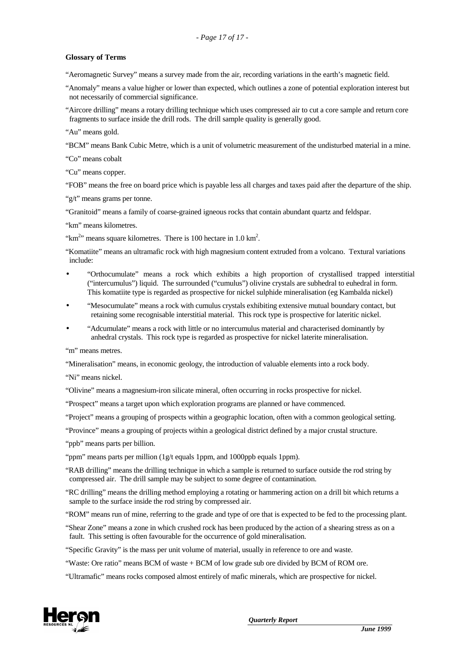## **Glossary of Terms**

"Aeromagnetic Survey" means a survey made from the air, recording variations in the earth's magnetic field.

"Anomaly" means a value higher or lower than expected, which outlines a zone of potential exploration interest but not necessarily of commercial significance.

"Aircore drilling" means a rotary drilling technique which uses compressed air to cut a core sample and return core fragments to surface inside the drill rods. The drill sample quality is generally good.

"Au" means gold.

"BCM" means Bank Cubic Metre, which is a unit of volumetric measurement of the undisturbed material in a mine.

"Co" means cobalt

"Cu" means copper.

"FOB" means the free on board price which is payable less all charges and taxes paid after the departure of the ship.

"g/t" means grams per tonne.

"Granitoid" means a family of coarse-grained igneous rocks that contain abundant quartz and feldspar.

"km" means kilometres.

" $km<sup>2</sup>$ " means square kilometres. There is 100 hectare in 1.0 km<sup>2</sup>.

"Komatiite" means an ultramafic rock with high magnesium content extruded from a volcano. Textural variations include:

- "Orthocumulate" means a rock which exhibits a high proportion of crystallised trapped interstitial ("intercumulus") liquid. The surrounded ("cumulus") olivine crystals are subhedral to euhedral in form. This komatiite type is regarded as prospective for nickel sulphide mineralisation (eg Kambalda nickel)
- "Mesocumulate" means a rock with cumulus crystals exhibiting extensive mutual boundary contact, but retaining some recognisable interstitial material. This rock type is prospective for lateritic nickel.
- "Adcumulate" means a rock with little or no intercumulus material and characterised dominantly by anhedral crystals. This rock type is regarded as prospective for nickel laterite mineralisation.

"m" means metres.

"Mineralisation" means, in economic geology, the introduction of valuable elements into a rock body.

"Ni" means nickel.

"Olivine" means a magnesium-iron silicate mineral, often occurring in rocks prospective for nickel.

"Prospect" means a target upon which exploration programs are planned or have commenced.

"Project" means a grouping of prospects within a geographic location, often with a common geological setting.

"Province" means a grouping of projects within a geological district defined by a major crustal structure.

"ppb" means parts per billion.

"ppm" means parts per million (1g/t equals 1ppm, and 1000ppb equals 1ppm).

"RAB drilling" means the drilling technique in which a sample is returned to surface outside the rod string by compressed air. The drill sample may be subject to some degree of contamination.

"RC drilling" means the drilling method employing a rotating or hammering action on a drill bit which returns a sample to the surface inside the rod string by compressed air.

"ROM" means run of mine, referring to the grade and type of ore that is expected to be fed to the processing plant.

"Shear Zone" means a zone in which crushed rock has been produced by the action of a shearing stress as on a fault. This setting is often favourable for the occurrence of gold mineralisation.

"Specific Gravity" is the mass per unit volume of material, usually in reference to ore and waste.

"Waste: Ore ratio" means BCM of waste + BCM of low grade sub ore divided by BCM of ROM ore.

"Ultramafic" means rocks composed almost entirely of mafic minerals, which are prospective for nickel.

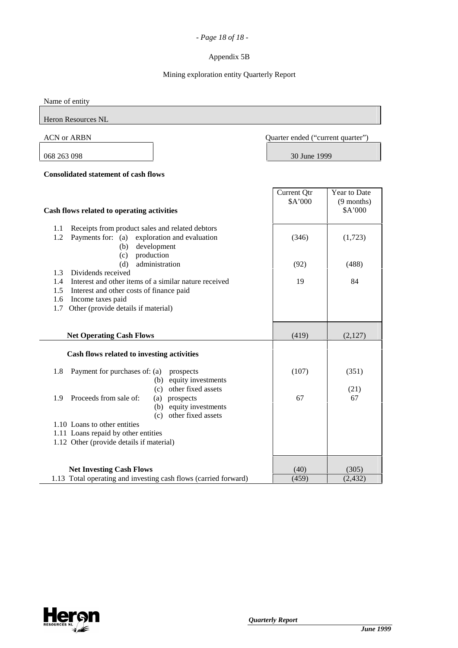## *- Page 18 of 18 -*

## Appendix 5B

## Mining exploration entity Quarterly Report

Name of entity

Heron Resources NL

 $\overline{a}$ 

ACN or ARBN Quarter ended ("current quarter")

068 263 098 30 June 1999

## **Consolidated statement of cash flows**

|                                                                                                    | Current Qtr   | Year to Date            |
|----------------------------------------------------------------------------------------------------|---------------|-------------------------|
| Cash flows related to operating activities                                                         | \$A'000       | $(9$ months)<br>\$A'000 |
| Receipts from product sales and related debtors<br>1.1                                             |               |                         |
| Payments for: (a) exploration and evaluation<br>1.2<br>development<br>(b)<br>production<br>(c)     | (346)         | (1,723)                 |
| administration<br>(d)                                                                              | (92)          | (488)                   |
| Dividends received<br>1.3                                                                          |               |                         |
| Interest and other items of a similar nature received<br>1.4                                       | 19            | 84                      |
| Interest and other costs of finance paid<br>1.5                                                    |               |                         |
| Income taxes paid<br>1.6                                                                           |               |                         |
| Other (provide details if material)<br>1.7                                                         |               |                         |
|                                                                                                    |               |                         |
| <b>Net Operating Cash Flows</b>                                                                    | (419)         | (2,127)                 |
| Cash flows related to investing activities                                                         |               |                         |
| Payment for purchases of: (a)<br>1.8<br>prospects<br>equity investments                            | (107)         | (351)                   |
| (b)<br>other fixed assets<br>(c)                                                                   |               | (21)                    |
| Proceeds from sale of:<br>1.9<br>(a) prospects                                                     | 67            | 67                      |
| (b) equity investments                                                                             |               |                         |
| (c) other fixed assets                                                                             |               |                         |
| 1.10 Loans to other entities                                                                       |               |                         |
| 1.11 Loans repaid by other entities                                                                |               |                         |
| 1.12 Other (provide details if material)                                                           |               |                         |
|                                                                                                    |               |                         |
|                                                                                                    |               |                         |
| <b>Net Investing Cash Flows</b><br>1.13 Total operating and investing cash flows (carried forward) | (40)<br>(459) | (305)<br>(2, 432)       |
|                                                                                                    |               |                         |

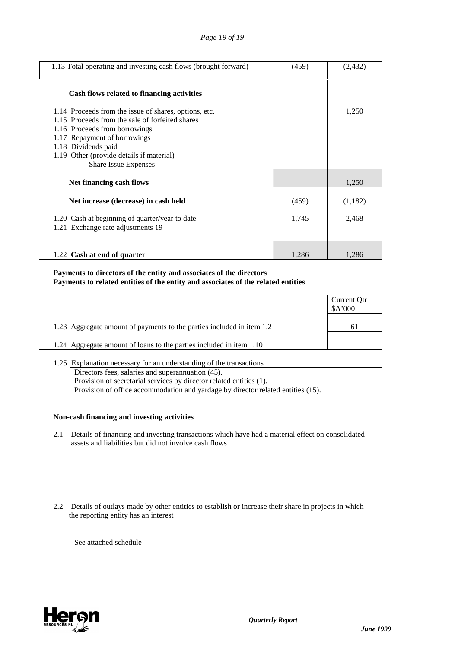| 1.13 Total operating and investing cash flows (brought forward)                                                                                                                                                                                                        | (459) | (2, 432) |
|------------------------------------------------------------------------------------------------------------------------------------------------------------------------------------------------------------------------------------------------------------------------|-------|----------|
| Cash flows related to financing activities                                                                                                                                                                                                                             |       |          |
| 1.14 Proceeds from the issue of shares, options, etc.<br>1.15 Proceeds from the sale of forfeited shares<br>1.16 Proceeds from borrowings<br>1.17 Repayment of borrowings<br>1.18 Dividends paid<br>1.19 Other (provide details if material)<br>- Share Issue Expenses |       | 1,250    |
| Net financing cash flows                                                                                                                                                                                                                                               |       | 1,250    |
| Net increase (decrease) in cash held                                                                                                                                                                                                                                   | (459) | (1,182)  |
| 1.20 Cash at beginning of quarter/year to date<br>1.21 Exchange rate adjustments 19                                                                                                                                                                                    | 1,745 | 2,468    |
| 1.22 Cash at end of quarter                                                                                                                                                                                                                                            | 1,286 | 1,286    |

## **Payments to directors of the entity and associates of the directors Payments to related entities of the entity and associates of the related entities**

|                                                                       | Current Qtr<br>\$A'000 |
|-----------------------------------------------------------------------|------------------------|
| 1.23 Aggregate amount of payments to the parties included in item 1.2 | 6 I                    |
| 1.24 Aggregate amount of loans to the parties included in item 1.10   |                        |

1.25 Explanation necessary for an understanding of the transactions Directors fees, salaries and superannuation (45). Provision of secretarial services by director related entities (1). Provision of office accommodation and yardage by director related entities (15).

## **Non-cash financing and investing activities**

- 2.1 Details of financing and investing transactions which have had a material effect on consolidated assets and liabilities but did not involve cash flows
- 2.2 Details of outlays made by other entities to establish or increase their share in projects in which the reporting entity has an interest

See attached schedule

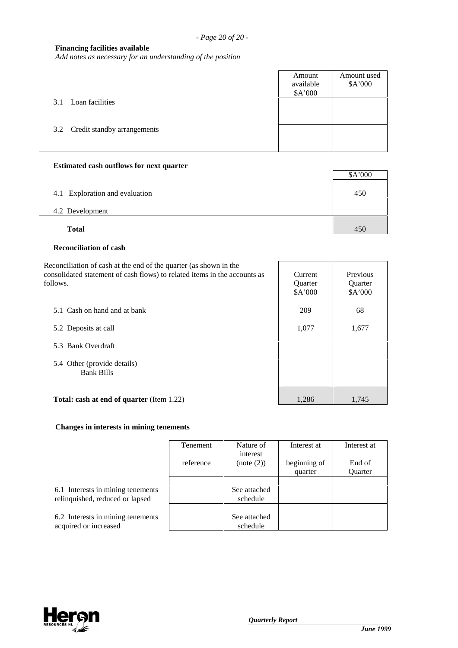## **Financing facilities available**

*Add notes as necessary for an understanding of the position*

|                                 | Amount<br>available<br>\$A'000 | Amount used<br>\$A'000 |
|---------------------------------|--------------------------------|------------------------|
| 3.1 Loan facilities             |                                |                        |
| 3.2 Credit standby arrangements |                                |                        |
|                                 |                                |                        |

#### **Estimated cash outflows for next quarter**

|                                | \$A'000 |
|--------------------------------|---------|
| 4.1 Exploration and evaluation | 450     |
| 4.2 Development                |         |
| <b>Total</b>                   | 450     |

## **Reconciliation of cash**

Reconciliation of cash at the end of the quarter (as shown in the consolidated statement of cash flows) to related items in the accounts as foll

| consolidated statement of cash flows) to related items in the accounts as | Current        | Previous |
|---------------------------------------------------------------------------|----------------|----------|
| follows.                                                                  | <b>Ouarter</b> | Quarter  |
|                                                                           | \$A'000        | \$A'000  |
| 5.1 Cash on hand and at bank                                              |                |          |
|                                                                           | 209            | 68       |
| 5.2 Deposits at call                                                      | 1,077          | 1,677    |
| 5.3 Bank Overdraft                                                        |                |          |
| 5.4 Other (provide details)                                               |                |          |
| <b>Bank Bills</b>                                                         |                |          |
| <b>Total: cash at end of quarter (Item 1.22)</b>                          | 1,286          | 1,745    |
|                                                                           |                |          |

## **Changes in interests in mining tenements**

|                                                                      | Tenement  | Nature of<br>interest    | Interest at             | Interest at              |
|----------------------------------------------------------------------|-----------|--------------------------|-------------------------|--------------------------|
|                                                                      | reference | (note (2))               | beginning of<br>quarter | End of<br><b>Ouarter</b> |
| 6.1 Interests in mining tenements<br>relinquished, reduced or lapsed |           | See attached<br>schedule |                         |                          |
| 6.2 Interests in mining tenements<br>acquired or increased           |           | See attached<br>schedule |                         |                          |

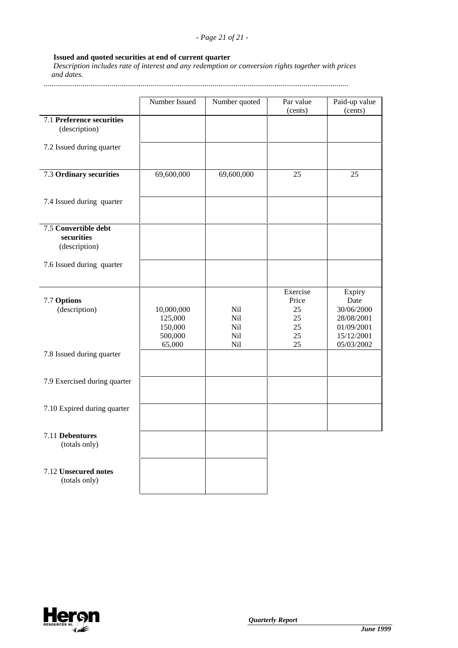# **Issued and quoted securities at end of current quarter**

 *Description includes rate of interest and any redemption or conversion rights together with prices and dates.*

.............................................................................................................................................................

|                                                     | Number Issued                                         | Number quoted                   | Par value                                       | Paid-up value                                                                        |
|-----------------------------------------------------|-------------------------------------------------------|---------------------------------|-------------------------------------------------|--------------------------------------------------------------------------------------|
|                                                     |                                                       |                                 | (cents)                                         | (cents)                                                                              |
| 7.1 Preference securities<br>(description)          |                                                       |                                 |                                                 |                                                                                      |
| 7.2 Issued during quarter                           |                                                       |                                 |                                                 |                                                                                      |
| 7.3 Ordinary securities                             | 69,600,000                                            | 69,600,000                      | 25                                              | 25                                                                                   |
| 7.4 Issued during quarter                           |                                                       |                                 |                                                 |                                                                                      |
| 7.5 Convertible debt<br>securities<br>(description) |                                                       |                                 |                                                 |                                                                                      |
| 7.6 Issued during quarter                           |                                                       |                                 |                                                 |                                                                                      |
| 7.7 Options<br>(description)                        | 10,000,000<br>125,000<br>150,000<br>500,000<br>65,000 | Nil<br>Nil<br>Nil<br>Nil<br>Nil | Exercise<br>Price<br>25<br>25<br>25<br>25<br>25 | Expiry<br>Date<br>30/06/2000<br>28/08/2001<br>01/09/2001<br>15/12/2001<br>05/03/2002 |
| 7.8 Issued during quarter                           |                                                       |                                 |                                                 |                                                                                      |
| 7.9 Exercised during quarter                        |                                                       |                                 |                                                 |                                                                                      |
| 7.10 Expired during quarter                         |                                                       |                                 |                                                 |                                                                                      |
| 7.11 Debentures<br>(totals only)                    |                                                       |                                 |                                                 |                                                                                      |
| 7.12 Unsecured notes<br>(totals only)               |                                                       |                                 |                                                 |                                                                                      |

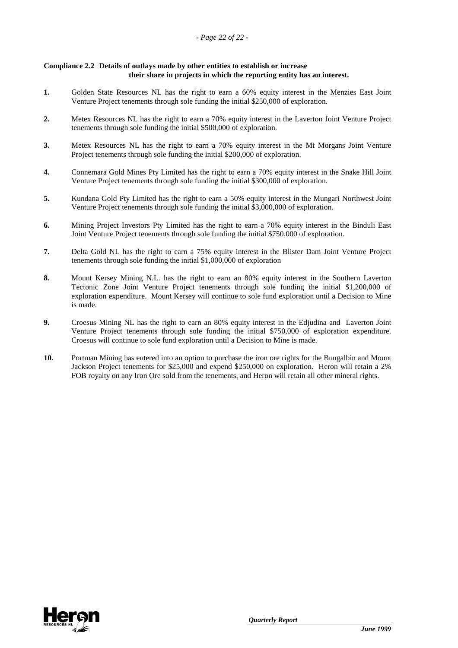### **Compliance 2.2 Details of outlays made by other entities to establish or increase their share in projects in which the reporting entity has an interest.**

- **1.** Golden State Resources NL has the right to earn a 60% equity interest in the Menzies East Joint Venture Project tenements through sole funding the initial \$250,000 of exploration.
- **2.** Metex Resources NL has the right to earn a 70% equity interest in the Laverton Joint Venture Project tenements through sole funding the initial \$500,000 of exploration.
- **3.** Metex Resources NL has the right to earn a 70% equity interest in the Mt Morgans Joint Venture Project tenements through sole funding the initial \$200,000 of exploration.
- **4.** Connemara Gold Mines Pty Limited has the right to earn a 70% equity interest in the Snake Hill Joint Venture Project tenements through sole funding the initial \$300,000 of exploration.
- **5.** Kundana Gold Pty Limited has the right to earn a 50% equity interest in the Mungari Northwest Joint Venture Project tenements through sole funding the initial \$3,000,000 of exploration.
- **6.** Mining Project Investors Pty Limited has the right to earn a 70% equity interest in the Binduli East Joint Venture Project tenements through sole funding the initial \$750,000 of exploration.
- **7.** Delta Gold NL has the right to earn a 75% equity interest in the Blister Dam Joint Venture Project tenements through sole funding the initial \$1,000,000 of exploration
- **8.** Mount Kersey Mining N.L. has the right to earn an 80% equity interest in the Southern Laverton Tectonic Zone Joint Venture Project tenements through sole funding the initial \$1,200,000 of exploration expenditure. Mount Kersey will continue to sole fund exploration until a Decision to Mine is made.
- **9.** Croesus Mining NL has the right to earn an 80% equity interest in the Edjudina and Laverton Joint Venture Project tenements through sole funding the initial \$750,000 of exploration expenditure. Croesus will continue to sole fund exploration until a Decision to Mine is made.
- **10.** Portman Mining has entered into an option to purchase the iron ore rights for the Bungalbin and Mount Jackson Project tenements for \$25,000 and expend \$250,000 on exploration. Heron will retain a 2% FOB royalty on any Iron Ore sold from the tenements, and Heron will retain all other mineral rights.

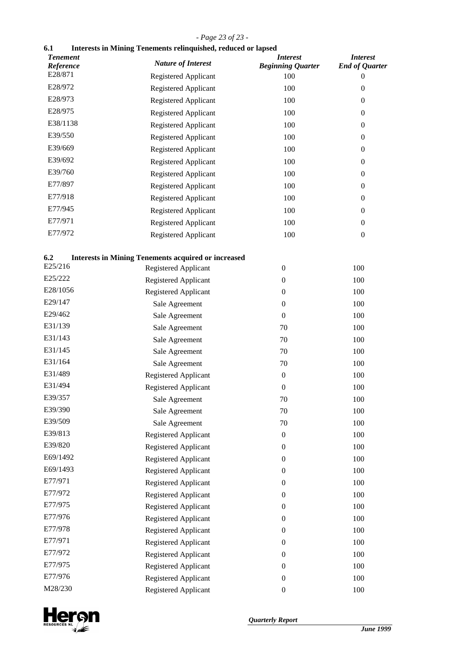## *- Page 23 of 23 -*

# **6.1 Interests in Mining Tenements relinquished, reduced or lapsed**

| <b>Tenement</b><br>Reference | <b>Nature of Interest</b>                                  | <b>Interest</b><br><b>Beginning Quarter</b> | <b>Interest</b><br><b>End of Quarter</b> |
|------------------------------|------------------------------------------------------------|---------------------------------------------|------------------------------------------|
| E28/871                      | Registered Applicant                                       | 100                                         | 0                                        |
| E28/972                      | Registered Applicant                                       | 100                                         | $\boldsymbol{0}$                         |
| E28/973                      | Registered Applicant                                       | 100                                         | $\boldsymbol{0}$                         |
| E28/975                      | Registered Applicant                                       | 100                                         | $\mathbf{0}$                             |
| E38/1138                     | Registered Applicant                                       | 100                                         | $\boldsymbol{0}$                         |
| E39/550                      | Registered Applicant                                       | 100                                         | $\boldsymbol{0}$                         |
| E39/669                      | Registered Applicant                                       | 100                                         | $\boldsymbol{0}$                         |
| E39/692                      | Registered Applicant                                       | 100                                         | $\boldsymbol{0}$                         |
| E39/760                      | Registered Applicant                                       | 100                                         | $\boldsymbol{0}$                         |
| E77/897                      | Registered Applicant                                       | 100                                         | $\boldsymbol{0}$                         |
| E77/918                      | Registered Applicant                                       | 100                                         | $\boldsymbol{0}$                         |
| E77/945                      | Registered Applicant                                       | 100                                         | $\boldsymbol{0}$                         |
| E77/971                      | Registered Applicant                                       | 100                                         | $\boldsymbol{0}$                         |
| E77/972                      | Registered Applicant                                       | 100                                         | $\boldsymbol{0}$                         |
| 6.2                          | <b>Interests in Mining Tenements acquired or increased</b> |                                             |                                          |
| E25/216                      | Registered Applicant                                       | $\boldsymbol{0}$                            | 100                                      |
| E25/222                      | Registered Applicant                                       | $\boldsymbol{0}$                            | 100                                      |
| E28/1056                     | Registered Applicant                                       | $\boldsymbol{0}$                            | 100                                      |
| E29/147                      | Sale Agreement                                             | $\boldsymbol{0}$                            | 100                                      |
| E29/462                      | Sale Agreement                                             | $\boldsymbol{0}$                            | 100                                      |
| E31/139                      | Sale Agreement                                             | 70                                          | 100                                      |
| E31/143                      | Sale Agreement                                             | 70                                          | 100                                      |
| E31/145                      | Sale Agreement                                             | 70                                          | 100                                      |
| E31/164                      | Sale Agreement                                             | 70                                          | 100                                      |
| E31/489                      | Registered Applicant                                       | $\boldsymbol{0}$                            | 100                                      |
| E31/494                      | Registered Applicant                                       | $\boldsymbol{0}$                            | 100                                      |
| E39/357                      | Sale Agreement                                             | 70                                          | 100                                      |
| E39/390                      | Sale Agreement                                             | 70                                          | 100                                      |
| E39/509                      | Sale Agreement                                             | 70                                          | 100                                      |
| E39/813                      | Registered Applicant                                       | $\boldsymbol{0}$                            | 100                                      |
| E39/820                      | Registered Applicant                                       | $\boldsymbol{0}$                            | 100                                      |
| E69/1492                     | Registered Applicant                                       | $\boldsymbol{0}$                            | 100                                      |
| E69/1493                     | <b>Registered Applicant</b>                                | $\boldsymbol{0}$                            | 100                                      |
| E77/971                      | Registered Applicant                                       | $\boldsymbol{0}$                            | 100                                      |
| E77/972                      | Registered Applicant                                       | $\boldsymbol{0}$                            | 100                                      |
| E77/975                      | Registered Applicant                                       | $\boldsymbol{0}$                            | 100                                      |
| E77/976                      | Registered Applicant                                       | $\boldsymbol{0}$                            | 100                                      |
| E77/978                      | Registered Applicant                                       | $\boldsymbol{0}$                            | 100                                      |
| E77/971                      | Registered Applicant                                       | $\boldsymbol{0}$                            | 100                                      |
| E77/972                      | Registered Applicant                                       | $\boldsymbol{0}$                            | 100                                      |
| E77/975                      | Registered Applicant                                       | $\boldsymbol{0}$                            | 100                                      |
| E77/976                      | Registered Applicant                                       | $\boldsymbol{0}$                            | 100                                      |
| M28/230                      | Registered Applicant                                       | $\boldsymbol{0}$                            | 100                                      |